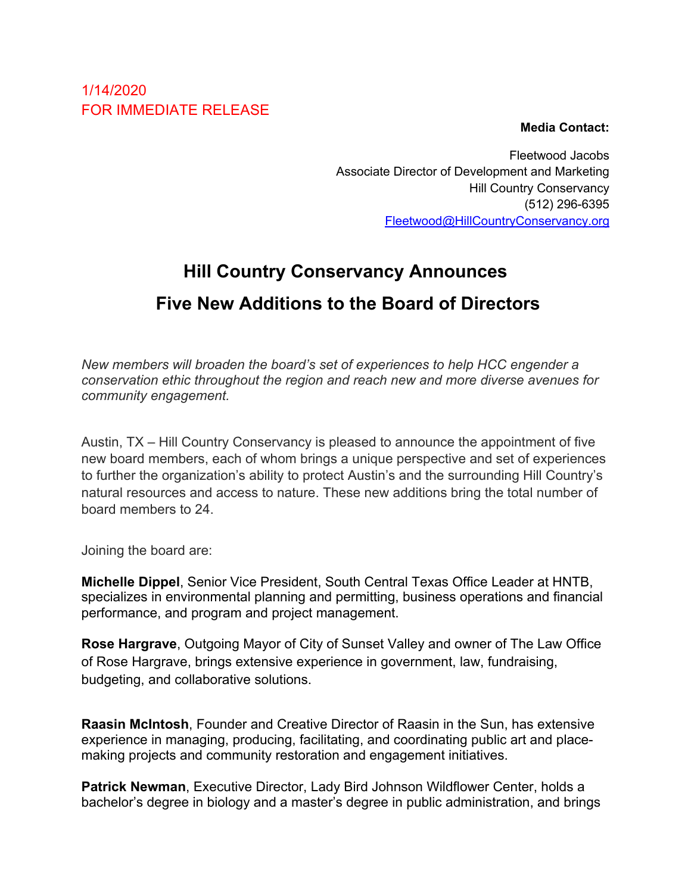## 1/14/2020 FOR IMMEDIATE RELEASE

**Media Contact:**

Fleetwood Jacobs Associate Director of Development and Marketing Hill Country Conservancy (512) 296-6395 Fleetwood@HillCountryConservancy.org

## **Hill Country Conservancy Announces Five New Additions to the Board of Directors**

*New members will broaden the board's set of experiences to help HCC engender a conservation ethic throughout the region and reach new and more diverse avenues for community engagement.* 

Austin, TX – Hill Country Conservancy is pleased to announce the appointment of five new board members, each of whom brings a unique perspective and set of experiences to further the organization's ability to protect Austin's and the surrounding Hill Country's natural resources and access to nature. These new additions bring the total number of board members to 24.

Joining the board are:

**Michelle Dippel**, Senior Vice President, South Central Texas Office Leader at HNTB, specializes in environmental planning and permitting, business operations and financial performance, and program and project management.

**Rose Hargrave**, Outgoing Mayor of City of Sunset Valley and owner of The Law Office of Rose Hargrave, brings extensive experience in government, law, fundraising, budgeting, and collaborative solutions.

**Raasin McIntosh**, Founder and Creative Director of Raasin in the Sun, has extensive experience in managing, producing, facilitating, and coordinating public art and placemaking projects and community restoration and engagement initiatives.

**Patrick Newman**, Executive Director, Lady Bird Johnson Wildflower Center, holds a bachelor's degree in biology and a master's degree in public administration, and brings